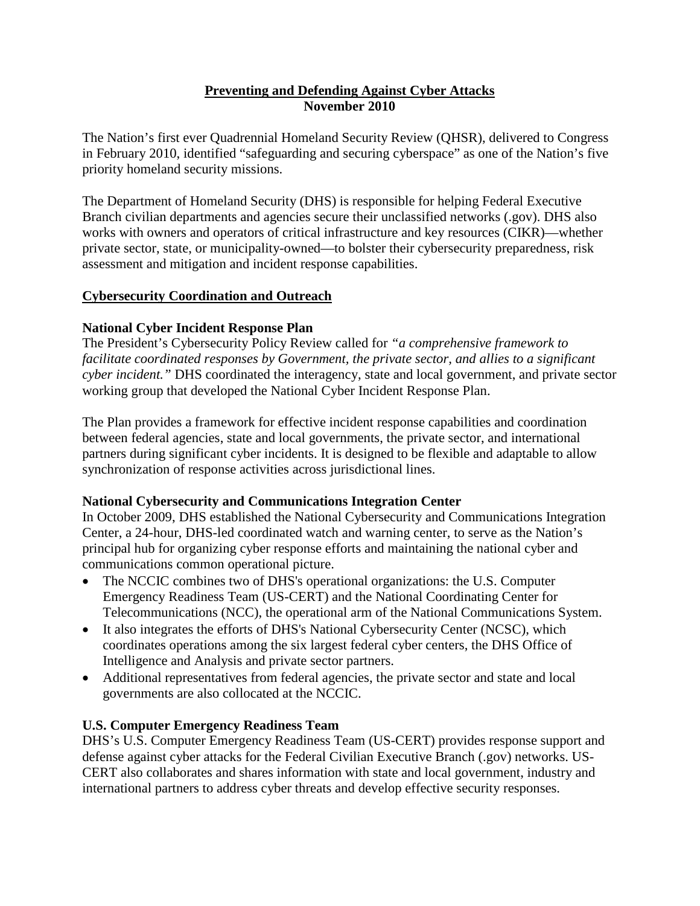### **Preventing and Defending Against Cyber Attacks November 2010**

The Nation's first ever Quadrennial Homeland Security Review (QHSR), delivered to Congress in February 2010, identified "safeguarding and securing cyberspace" as one of the Nation's five priority homeland security missions.

The Department of Homeland Security (DHS) is responsible for helping Federal Executive Branch civilian departments and agencies secure their unclassified networks (.gov). DHS also works with owners and operators of critical infrastructure and key resources (CIKR)—whether private sector, state, or municipality-owned—to bolster their cybersecurity preparedness, risk assessment and mitigation and incident response capabilities.

### **Cybersecurity Coordination and Outreach**

#### **National Cyber Incident Response Plan**

The President's Cybersecurity Policy Review called for *"a comprehensive framework to facilitate coordinated responses by Government, the private sector, and allies to a significant cyber incident."* DHS coordinated the interagency, state and local government, and private sector working group that developed the National Cyber Incident Response Plan.

The Plan provides a framework for effective incident response capabilities and coordination between federal agencies, state and local governments, the private sector, and international partners during significant cyber incidents. It is designed to be flexible and adaptable to allow synchronization of response activities across jurisdictional lines.

#### **National Cybersecurity and Communications Integration Center**

In October 2009, DHS established the National Cybersecurity and Communications Integration Center, a 24-hour, DHS-led coordinated watch and warning center, to serve as the Nation's principal hub for organizing cyber response efforts and maintaining the national cyber and communications common operational picture.

- The NCCIC combines two of DHS's operational organizations: the U.S. Computer Emergency Readiness Team (US-CERT) and the National Coordinating Center for Telecommunications (NCC), the operational arm of the National Communications System.
- It also integrates the efforts of DHS's National Cybersecurity Center (NCSC), which coordinates operations among the six largest federal cyber centers, the DHS Office of Intelligence and Analysis and private sector partners.
- Additional representatives from federal agencies, the private sector and state and local governments are also collocated at the NCCIC.

#### **U.S. Computer Emergency Readiness Team**

DHS's U.S. Computer Emergency Readiness Team (US-CERT) provides response support and defense against cyber attacks for the Federal Civilian Executive Branch (.gov) networks. US-CERT also collaborates and shares information with state and local government, industry and international partners to address cyber threats and develop effective security responses.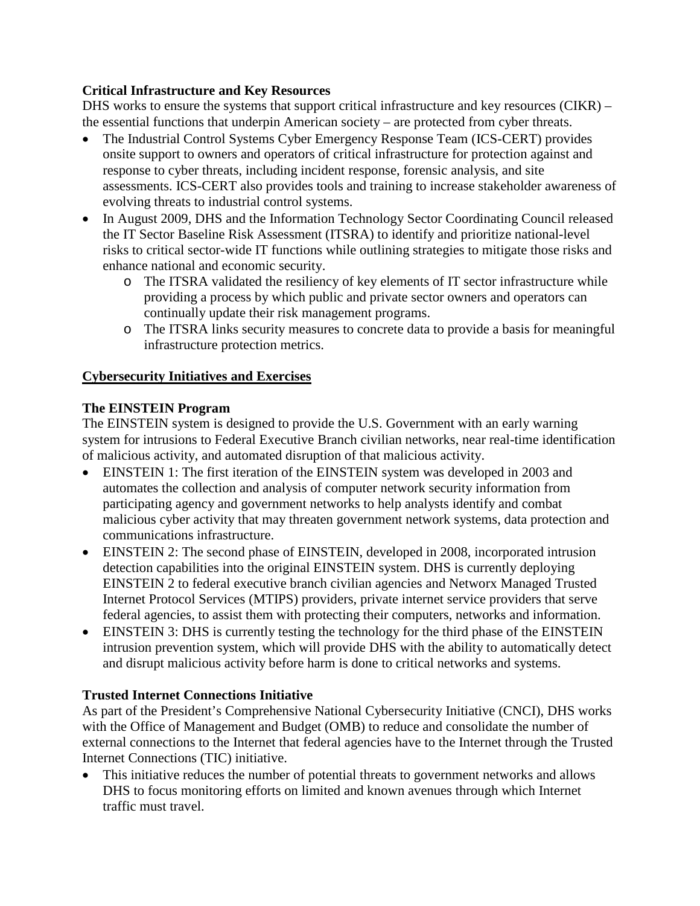# **Critical Infrastructure and Key Resources**

DHS works to ensure the systems that support critical infrastructure and key resources (CIKR) – the essential functions that underpin American society – are protected from cyber threats.

- The Industrial Control Systems Cyber Emergency Response Team (ICS-CERT) provides onsite support to owners and operators of critical infrastructure for protection against and response to cyber threats, including incident response, forensic analysis, and site assessments. ICS-CERT also provides tools and training to increase stakeholder awareness of evolving threats to industrial control systems.
- In August 2009, DHS and the Information Technology Sector Coordinating Council released the IT Sector Baseline Risk Assessment (ITSRA) to identify and prioritize national-level risks to critical sector-wide IT functions while outlining strategies to mitigate those risks and enhance national and economic security.
	- o The ITSRA validated the resiliency of key elements of IT sector infrastructure while providing a process by which public and private sector owners and operators can continually update their risk management programs.
	- o The ITSRA links security measures to concrete data to provide a basis for meaningful infrastructure protection metrics.

# **Cybersecurity Initiatives and Exercises**

# **The EINSTEIN Program**

The EINSTEIN system is designed to provide the U.S. Government with an early warning system for intrusions to Federal Executive Branch civilian networks, near real-time identification of malicious activity, and automated disruption of that malicious activity.

- EINSTEIN 1: The first iteration of the EINSTEIN system was developed in 2003 and automates the collection and analysis of computer network security information from participating agency and government networks to help analysts identify and combat malicious cyber activity that may threaten government network systems, data protection and communications infrastructure.
- EINSTEIN 2: The second phase of EINSTEIN, developed in 2008, incorporated intrusion detection capabilities into the original EINSTEIN system. DHS is currently deploying EINSTEIN 2 to federal executive branch civilian agencies and Networx Managed Trusted Internet Protocol Services (MTIPS) providers, private internet service providers that serve federal agencies, to assist them with protecting their computers, networks and information.
- EINSTEIN 3: DHS is currently testing the technology for the third phase of the EINSTEIN intrusion prevention system, which will provide DHS with the ability to automatically detect and disrupt malicious activity before harm is done to critical networks and systems.

### **Trusted Internet Connections Initiative**

As part of the President's Comprehensive National Cybersecurity Initiative (CNCI), DHS works with the Office of Management and Budget (OMB) to reduce and consolidate the number of external connections to the Internet that federal agencies have to the Internet through the Trusted Internet Connections (TIC) initiative.

• This initiative reduces the number of potential threats to government networks and allows DHS to focus monitoring efforts on limited and known avenues through which Internet traffic must travel.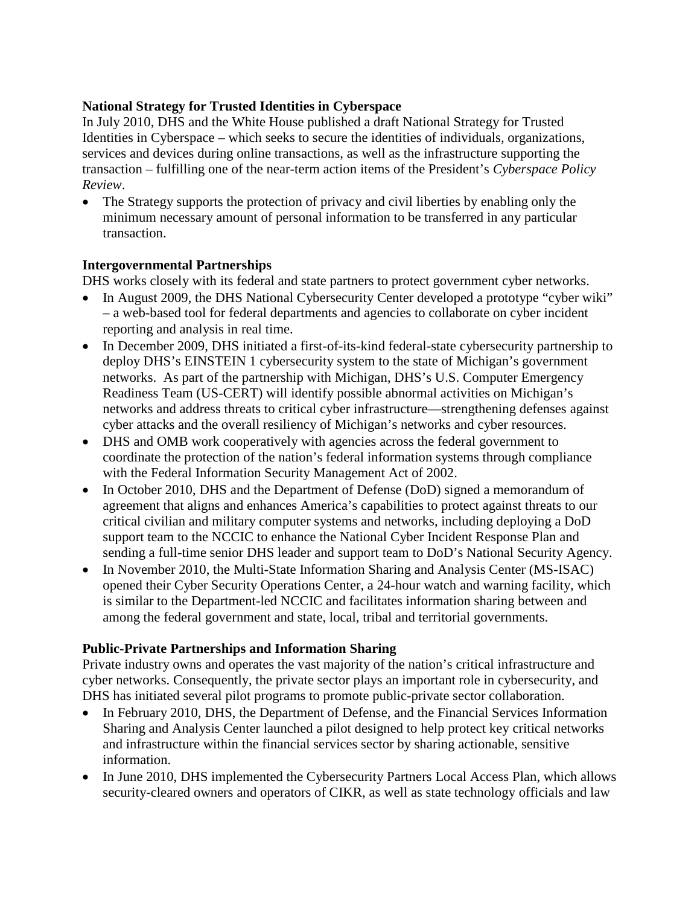### **National Strategy for Trusted Identities in Cyberspace**

In July 2010, DHS and the White House published a draft National Strategy for Trusted Identities in Cyberspace – which seeks to secure the identities of individuals, organizations, services and devices during online transactions, as well as the infrastructure supporting the transaction – fulfilling one of the near-term action items of the President's *Cyberspace Policy Review*.

• The Strategy supports the protection of privacy and civil liberties by enabling only the minimum necessary amount of personal information to be transferred in any particular transaction.

### **Intergovernmental Partnerships**

DHS works closely with its federal and state partners to protect government cyber networks.

- In August 2009, the DHS National Cybersecurity Center developed a prototype "cyber wiki" – a web-based tool for federal departments and agencies to collaborate on cyber incident reporting and analysis in real time.
- In December 2009, DHS initiated a first-of-its-kind federal-state cybersecurity partnership to deploy DHS's EINSTEIN 1 cybersecurity system to the state of Michigan's government networks. As part of the partnership with Michigan, DHS's U.S. Computer Emergency Readiness Team (US-CERT) will identify possible abnormal activities on Michigan's networks and address threats to critical cyber infrastructure—strengthening defenses against cyber attacks and the overall resiliency of Michigan's networks and cyber resources.
- DHS and OMB work cooperatively with agencies across the federal government to coordinate the protection of the nation's federal information systems through compliance with the Federal Information Security Management Act of 2002.
- In October 2010, DHS and the Department of Defense (DoD) signed a memorandum of agreement that aligns and enhances America's capabilities to protect against threats to our critical civilian and military computer systems and networks, including deploying a DoD support team to the NCCIC to enhance the National Cyber Incident Response Plan and sending a full-time senior DHS leader and support team to DoD's National Security Agency.
- In November 2010, the Multi-State Information Sharing and Analysis Center (MS-ISAC) opened their Cyber Security Operations Center, a 24-hour watch and warning facility, which is similar to the Department-led NCCIC and facilitates information sharing between and among the federal government and state, local, tribal and territorial governments.

### **Public-Private Partnerships and Information Sharing**

Private industry owns and operates the vast majority of the nation's critical infrastructure and cyber networks. Consequently, the private sector plays an important role in cybersecurity, and DHS has initiated several pilot programs to promote public-private sector collaboration.

- In February 2010, DHS, the Department of Defense, and the Financial Services Information Sharing and Analysis Center launched a pilot designed to help protect key critical networks and infrastructure within the financial services sector by sharing actionable, sensitive information.
- In June 2010, DHS implemented the Cybersecurity Partners Local Access Plan, which allows security-cleared owners and operators of CIKR, as well as state technology officials and law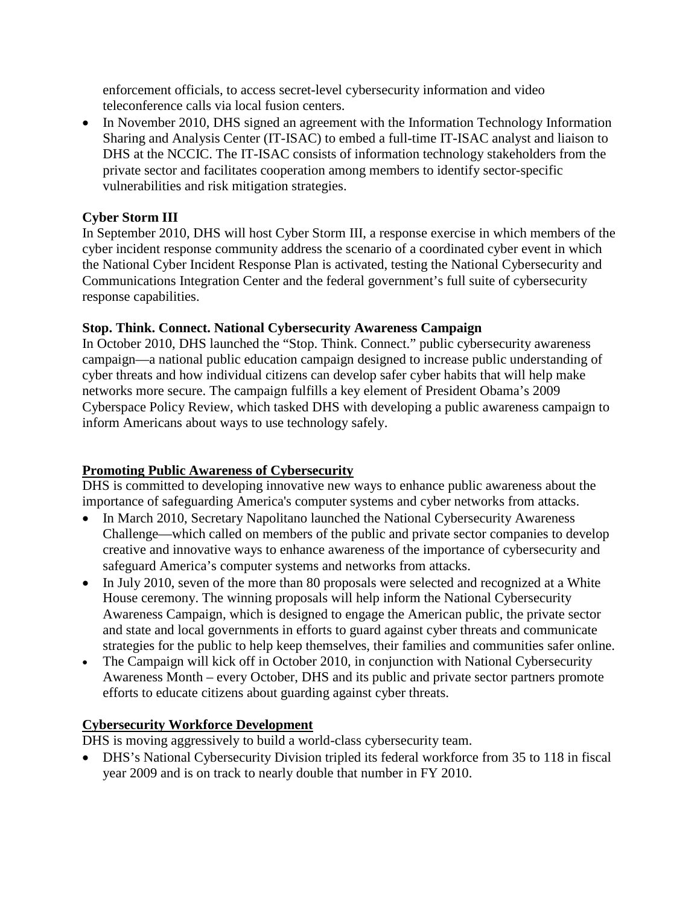enforcement officials, to access secret-level cybersecurity information and video teleconference calls via local fusion centers.

• In November 2010, DHS signed an agreement with the Information Technology Information Sharing and Analysis Center (IT-ISAC) to embed a full-time IT-ISAC analyst and liaison to DHS at the NCCIC. The IT-ISAC consists of information technology stakeholders from the private sector and facilitates cooperation among members to identify sector-specific vulnerabilities and risk mitigation strategies.

# **Cyber Storm III**

In September 2010, DHS will host Cyber Storm III, a response exercise in which members of the cyber incident response community address the scenario of a coordinated cyber event in which the National Cyber Incident Response Plan is activated, testing the National Cybersecurity and Communications Integration Center and the federal government's full suite of cybersecurity response capabilities.

# **Stop. Think. Connect. National Cybersecurity Awareness Campaign**

In October 2010, DHS launched the "Stop. Think. Connect." public cybersecurity awareness campaign—a national public education campaign designed to increase public understanding of cyber threats and how individual citizens can develop safer cyber habits that will help make networks more secure. The campaign fulfills a key element of President Obama's 2009 Cyberspace Policy Review, which tasked DHS with developing a public awareness campaign to inform Americans about ways to use technology safely.

# **Promoting Public Awareness of Cybersecurity**

DHS is committed to developing innovative new ways to enhance public awareness about the importance of safeguarding America's computer systems and cyber networks from attacks.

- In March 2010, Secretary Napolitano launched the National Cybersecurity Awareness Challenge—which called on members of the public and private sector companies to develop creative and innovative ways to enhance awareness of the importance of cybersecurity and safeguard America's computer systems and networks from attacks.
- In July 2010, seven of the more than 80 proposals were selected and recognized at a White House ceremony. The winning proposals will help inform the National Cybersecurity Awareness Campaign, which is designed to engage the American public, the private sector and state and local governments in efforts to guard against cyber threats and communicate strategies for the public to help keep themselves, their families and communities safer online.
- The Campaign will kick off in October 2010, in conjunction with National Cybersecurity Awareness Month – every October, DHS and its public and private sector partners promote efforts to educate citizens about guarding against cyber threats.

# **Cybersecurity Workforce Development**

DHS is moving aggressively to build a world-class cybersecurity team.

• DHS's National Cybersecurity Division tripled its federal workforce from 35 to 118 in fiscal year 2009 and is on track to nearly double that number in FY 2010.